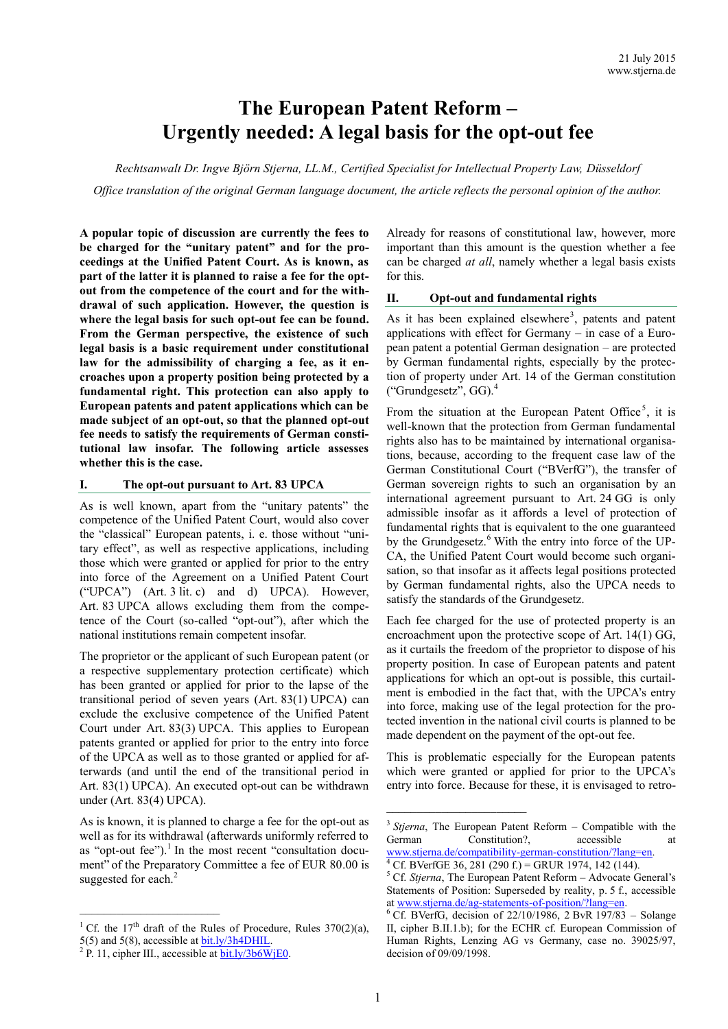# **The European Patent Reform – Urgently needed: A legal basis for the opt-out fee**

*Rechtsanwalt Dr. Ingve Björn Stjerna, LL.M., Certified Specialist for Intellectual Property Law, Düsseldorf Office translation of the original German language document, the article reflects the personal opinion of the author.*

**A popular topic of discussion are currently the fees to be charged for the "unitary patent" and for the proceedings at the Unified Patent Court. As is known, as part of the latter it is planned to raise a fee for the optout from the competence of the court and for the withdrawal of such application. However, the question is where the legal basis for such opt-out fee can be found. From the German perspective, the existence of such legal basis is a basic requirement under constitutional law for the admissibility of charging a fee, as it encroaches upon a property position being protected by a fundamental right. This protection can also apply to European patents and patent applications which can be made subject of an opt-out, so that the planned opt-out fee needs to satisfy the requirements of German constitutional law insofar. The following article assesses whether this is the case.**

#### **I. The opt-out pursuant to Art. 83 UPCA**

As is well known, apart from the "unitary patents" the competence of the Unified Patent Court, would also cover the "classical" European patents, i. e. those without "unitary effect", as well as respective applications, including those which were granted or applied for prior to the entry into force of the Agreement on a Unified Patent Court ("UPCA") (Art. 3 lit. c) and d) UPCA). However, Art. 83 UPCA allows excluding them from the competence of the Court (so-called "opt-out"), after which the national institutions remain competent insofar.

The proprietor or the applicant of such European patent (or a respective supplementary protection certificate) which has been granted or applied for prior to the lapse of the transitional period of seven years (Art. 83(1) UPCA) can exclude the exclusive competence of the Unified Patent Court under Art. 83(3) UPCA. This applies to European patents granted or applied for prior to the entry into force of the UPCA as well as to those granted or applied for afterwards (and until the end of the transitional period in Art. 83(1) UPCA). An executed opt-out can be withdrawn under (Art. 83(4) UPCA).

As is known, it is planned to charge a fee for the opt-out as well as for its withdrawal (afterwards uniformly referred to as "opt-out fee").<sup>1</sup> In the most recent "consultation document" of the Preparatory Committee a fee of EUR 80.00 is suggested for each.<sup>2</sup>

\_\_\_\_\_\_\_\_\_\_\_\_\_\_\_\_\_\_\_\_\_\_\_

Already for reasons of constitutional law, however, more important than this amount is the question whether a fee can be charged *at all*, namely whether a legal basis exists for this.

#### **II. Opt-out and fundamental rights**

As it has been explained elsewhere<sup>3</sup>, patents and patent applications with effect for Germany – in case of a European patent a potential German designation – are protected by German fundamental rights, especially by the protection of property under Art. 14 of the German constitution ("Grundgesetz", GG). 4

From the situation at the European Patent Office<sup>5</sup>, it is well-known that the protection from German fundamental rights also has to be maintained by international organisations, because, according to the frequent case law of the German Constitutional Court ("BVerfG"), the transfer of German sovereign rights to such an organisation by an international agreement pursuant to Art. 24 GG is only admissible insofar as it affords a level of protection of fundamental rights that is equivalent to the one guaranteed by the Grundgesetz.<sup>6</sup> With the entry into force of the UP-CA, the Unified Patent Court would become such organisation, so that insofar as it affects legal positions protected by German fundamental rights, also the UPCA needs to satisfy the standards of the Grundgesetz.

Each fee charged for the use of protected property is an encroachment upon the protective scope of Art. 14(1) GG, as it curtails the freedom of the proprietor to dispose of his property position. In case of European patents and patent applications for which an opt-out is possible, this curtailment is embodied in the fact that, with the UPCA's entry into force, making use of the legal protection for the protected invention in the national civil courts is planned to be made dependent on the payment of the opt-out fee.

This is problematic especially for the European patents which were granted or applied for prior to the UPCA's entry into force. Because for these, it is envisaged to retro-

<sup>&</sup>lt;sup>1</sup> Cf. the 17<sup>th</sup> draft of the Rules of Procedure, Rules 370(2)(a),

<sup>5(5)</sup> and 5(8), accessible at  $\underline{bit}$ .  $\underline{ly}/3h4$ DHIL.<br><sup>2</sup> P. 11, cipher III., accessible at  $\underline{bit}$ .  $\underline{ly}/3b6$ W<sub>1</sub>E0.

<sup>&</sup>lt;sup>3</sup> Stjerna, The European Patent Reform – Compatible with the German Constitution? accessible at [www.stjerna.de/compatibility](http://www.stjerna.de/compatibility-german-constitution/?lang=en)-german-constitution/?lang=en.

<sup>&</sup>lt;sup>4</sup> Cf. BVerfGE 36, 281 (290 f.) = GRUR 1974, 142 (144).

<sup>5</sup> Cf. *Stjerna*, The European Patent Reform – Advocate General's Statements of Position: Superseded by reality, p. 5 f., accessible at [www.stjerna.de/ag](http://www.stjerna.de/ag-statements-of-position/?lang=en)-statements-of-position/?lang=en.

<sup>6</sup> Cf. BVerfG, decision of 22/10/1986, 2 BvR 197/83 – Solange II, cipher B.II.1.b); for the ECHR cf. European Commission of Human Rights, Lenzing AG vs Germany, case no. 39025/97, decision of 09/09/1998.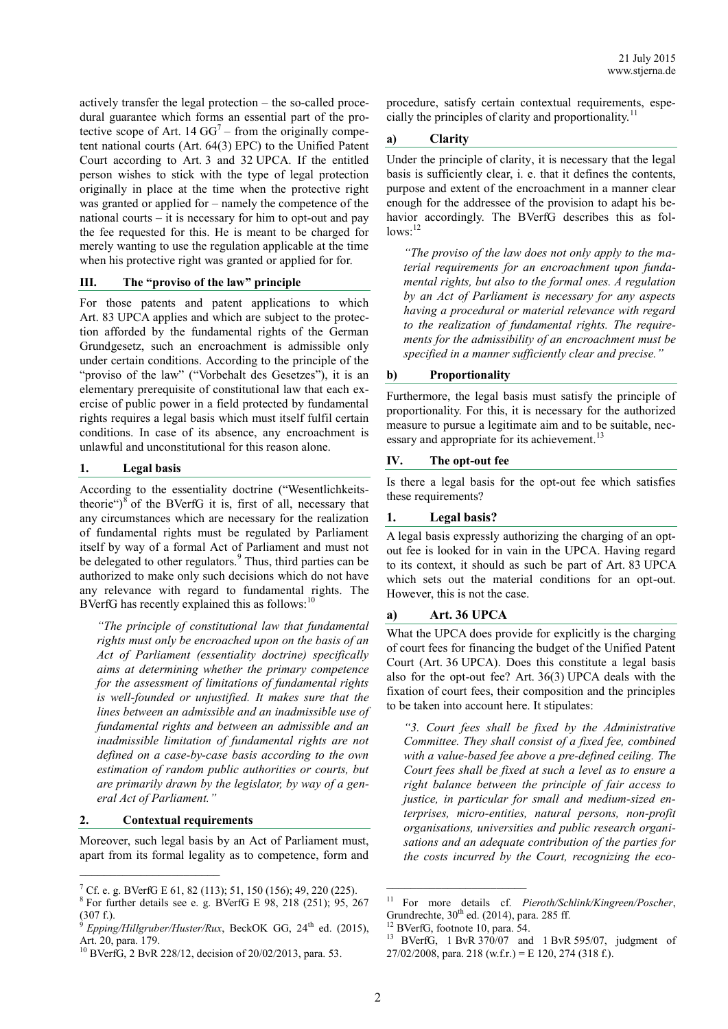actively transfer the legal protection – the so-called procedural guarantee which forms an essential part of the protective scope of Art. 14  $GG^7$  – from the originally competent national courts (Art. 64(3) EPC) to the Unified Patent Court according to Art. 3 and 32 UPCA. If the entitled person wishes to stick with the type of legal protection originally in place at the time when the protective right was granted or applied for – namely the competence of the national courts – it is necessary for him to opt-out and pay the fee requested for this. He is meant to be charged for merely wanting to use the regulation applicable at the time when his protective right was granted or applied for for.

#### **III. The "proviso of the law" principle**

For those patents and patent applications to which Art. 83 UPCA applies and which are subject to the protection afforded by the fundamental rights of the German Grundgesetz, such an encroachment is admissible only under certain conditions. According to the principle of the "proviso of the law" ("Vorbehalt des Gesetzes"), it is an elementary prerequisite of constitutional law that each exercise of public power in a field protected by fundamental rights requires a legal basis which must itself fulfil certain conditions. In case of its absence, any encroachment is unlawful and unconstitutional for this reason alone.

#### **1. Legal basis**

According to the essentiality doctrine ("Wesentlichkeitstheorie") $\frac{8}{9}$  of the BVerfG it is, first of all, necessary that any circumstances which are necessary for the realization of fundamental rights must be regulated by Parliament itself by way of a formal Act of Parliament and must not be delegated to other regulators.<sup>9</sup> Thus, third parties can be authorized to make only such decisions which do not have any relevance with regard to fundamental rights. The BVerfG has recently explained this as follows: $10$ 

*"The principle of constitutional law that fundamental rights must only be encroached upon on the basis of an Act of Parliament (essentiality doctrine) specifically aims at determining whether the primary competence for the assessment of limitations of fundamental rights is well-founded or unjustified. It makes sure that the lines between an admissible and an inadmissible use of fundamental rights and between an admissible and an inadmissible limitation of fundamental rights are not defined on a case-by-case basis according to the own estimation of random public authorities or courts, but are primarily drawn by the legislator, by way of a general Act of Parliament."*

#### **2. Contextual requirements**

Moreover, such legal basis by an Act of Parliament must, apart from its formal legality as to competence, form and procedure, satisfy certain contextual requirements, especially the principles of clarity and proportionality.<sup>1</sup>

# **a) Clarity**

Under the principle of clarity, it is necessary that the legal basis is sufficiently clear, i. e. that it defines the contents, purpose and extent of the encroachment in a manner clear enough for the addressee of the provision to adapt his behavior accordingly. The BVerfG describes this as fol $lows$ : $12$ 

*"The proviso of the law does not only apply to the material requirements for an encroachment upon fundamental rights, but also to the formal ones. A regulation by an Act of Parliament is necessary for any aspects having a procedural or material relevance with regard to the realization of fundamental rights. The requirements for the admissibility of an encroachment must be specified in a manner sufficiently clear and precise."*

#### **b) Proportionality**

Furthermore, the legal basis must satisfy the principle of proportionality. For this, it is necessary for the authorized measure to pursue a legitimate aim and to be suitable, necessary and appropriate for its achievement.<sup>13</sup>

## **IV. The opt-out fee**

Is there a legal basis for the opt-out fee which satisfies these requirements?

## **1. Legal basis?**

A legal basis expressly authorizing the charging of an optout fee is looked for in vain in the UPCA. Having regard to its context, it should as such be part of Art. 83 UPCA which sets out the material conditions for an opt-out. However, this is not the case.

#### **a) Art. 36 UPCA**

What the UPCA does provide for explicitly is the charging of court fees for financing the budget of the Unified Patent Court (Art. 36 UPCA). Does this constitute a legal basis also for the opt-out fee? Art. 36(3) UPCA deals with the fixation of court fees, their composition and the principles to be taken into account here. It stipulates:

*"3. Court fees shall be fixed by the Administrative Committee. They shall consist of a fixed fee, combined with a value-based fee above a pre-defined ceiling. The Court fees shall be fixed at such a level as to ensure a right balance between the principle of fair access to justice, in particular for small and medium-sized enterprises, micro-entities, natural persons, non-profit organisations, universities and public research organisations and an adequate contribution of the parties for the costs incurred by the Court, recognizing the eco-*

 $\mathcal{L}_\text{max}$ 

<sup>7</sup> Cf. e. g. BVerfG E 61, 82 (113); 51, 150 (156); 49, 220 (225).

 $8$  For further details see e. g. BVerfG E 98, 218 (251); 95, 267 (307 f.).

*Epping/Hillgruber/Huster/Rux*, BeckOK GG, 24<sup>th</sup> ed. (2015), Art. 20, para. 179.

<sup>10</sup> BVerfG, 2 BvR 228/12, decision of 20/02/2013, para. 53.

<sup>11</sup> For more details cf. *Pieroth/Schlink/Kingreen/Poscher*, Grundrechte,  $30<sup>th</sup>$  ed. (2014), para. 285 ff.

<sup>&</sup>lt;sup>12</sup> BVerfG, footnote 10, para. 54.<br><sup>13</sup> BVerfG 1 BvR 370/07 and

<sup>13</sup> BVerfG, 1 BvR 370/07 and 1 BvR 595/07, judgment of  $27/02/2008$ , para. 218 (w.f.r.) = E 120, 274 (318 f.).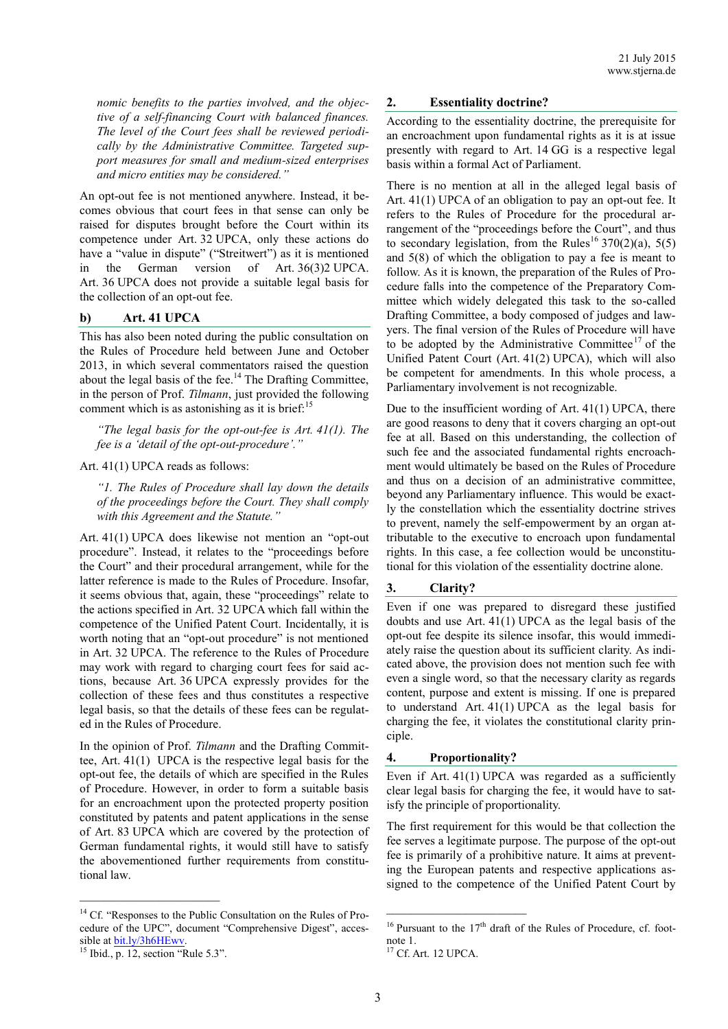*nomic benefits to the parties involved, and the objective of a self-financing Court with balanced finances. The level of the Court fees shall be reviewed periodically by the Administrative Committee. Targeted support measures for small and medium-sized enterprises and micro entities may be considered."*

An opt-out fee is not mentioned anywhere. Instead, it becomes obvious that court fees in that sense can only be raised for disputes brought before the Court within its competence under Art. 32 UPCA, only these actions do have a "value in dispute" ("Streitwert") as it is mentioned in the German version of Art. 36(3)2 UPCA. Art. 36 UPCA does not provide a suitable legal basis for the collection of an opt-out fee.

## **b) Art. 41 UPCA**

This has also been noted during the public consultation on the Rules of Procedure held between June and October 2013, in which several commentators raised the question about the legal basis of the fee.<sup>14</sup> The Drafting Committee, in the person of Prof. *Tilmann*, just provided the following comment which is as astonishing as it is brief:<sup>15</sup>

*"The legal basis for the opt-out-fee is Art. 41(1). The fee is a 'detail of the opt-out-procedure'."*

#### Art. 41(1) UPCA reads as follows:

*"1. The Rules of Procedure shall lay down the details of the proceedings before the Court. They shall comply with this Agreement and the Statute."*

Art. 41(1) UPCA does likewise not mention an "opt-out procedure". Instead, it relates to the "proceedings before the Court" and their procedural arrangement, while for the latter reference is made to the Rules of Procedure. Insofar, it seems obvious that, again, these "proceedings" relate to the actions specified in Art. 32 UPCA which fall within the competence of the Unified Patent Court. Incidentally, it is worth noting that an "opt-out procedure" is not mentioned in Art. 32 UPCA. The reference to the Rules of Procedure may work with regard to charging court fees for said actions, because Art. 36 UPCA expressly provides for the collection of these fees and thus constitutes a respective legal basis, so that the details of these fees can be regulated in the Rules of Procedure.

In the opinion of Prof. *Tilmann* and the Drafting Committee, Art. 41(1) UPCA is the respective legal basis for the opt-out fee, the details of which are specified in the Rules of Procedure. However, in order to form a suitable basis for an encroachment upon the protected property position constituted by patents and patent applications in the sense of Art. 83 UPCA which are covered by the protection of German fundamental rights, it would still have to satisfy the abovementioned further requirements from constitutional law.

 $\mathcal{L}_\text{max}$ 

## **2. Essentiality doctrine?**

According to the essentiality doctrine, the prerequisite for an encroachment upon fundamental rights as it is at issue presently with regard to Art. 14 GG is a respective legal basis within a formal Act of Parliament.

There is no mention at all in the alleged legal basis of Art. 41(1) UPCA of an obligation to pay an opt-out fee. It refers to the Rules of Procedure for the procedural arrangement of the "proceedings before the Court", and thus to secondary legislation, from the Rules<sup>16</sup> 370(2)(a), 5(5) and 5(8) of which the obligation to pay a fee is meant to follow. As it is known, the preparation of the Rules of Procedure falls into the competence of the Preparatory Committee which widely delegated this task to the so-called Drafting Committee, a body composed of judges and lawyers. The final version of the Rules of Procedure will have to be adopted by the Administrative Committee<sup>17</sup> of the Unified Patent Court (Art. 41(2) UPCA), which will also be competent for amendments. In this whole process, a Parliamentary involvement is not recognizable.

Due to the insufficient wording of Art. 41(1) UPCA, there are good reasons to deny that it covers charging an opt-out fee at all. Based on this understanding, the collection of such fee and the associated fundamental rights encroachment would ultimately be based on the Rules of Procedure and thus on a decision of an administrative committee, beyond any Parliamentary influence. This would be exactly the constellation which the essentiality doctrine strives to prevent, namely the self-empowerment by an organ attributable to the executive to encroach upon fundamental rights. In this case, a fee collection would be unconstitutional for this violation of the essentiality doctrine alone.

# **3. Clarity?**

Even if one was prepared to disregard these justified doubts and use Art. 41(1) UPCA as the legal basis of the opt-out fee despite its silence insofar, this would immediately raise the question about its sufficient clarity. As indicated above, the provision does not mention such fee with even a single word, so that the necessary clarity as regards content, purpose and extent is missing. If one is prepared to understand Art. 41(1) UPCA as the legal basis for charging the fee, it violates the constitutional clarity principle.

#### **4. Proportionality?**

\_\_\_\_\_\_\_\_\_\_\_\_\_\_\_\_\_\_\_\_\_\_\_

Even if Art.  $41(1)$  UPCA was regarded as a sufficiently clear legal basis for charging the fee, it would have to satisfy the principle of proportionality.

The first requirement for this would be that collection the fee serves a legitimate purpose. The purpose of the opt-out fee is primarily of a prohibitive nature. It aims at preventing the European patents and respective applications assigned to the competence of the Unified Patent Court by

<sup>&</sup>lt;sup>14</sup> Cf. "Responses to the Public Consultation on the Rules of Procedure of the UPC", document "Comprehensive Digest", accessible at **bit.ly/3h6HEwy**.

 $15$  Ibid., p. 12, section "Rule 5.3".

 $16$  Pursuant to the 17<sup>th</sup> draft of the Rules of Procedure, cf. footnote 1.

<sup>17</sup> Cf. Art. 12 UPCA.